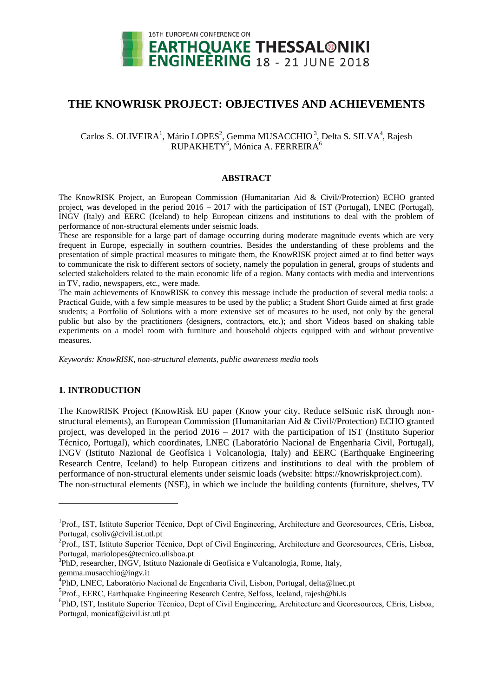

# **THE KNOWRISK PROJECT: OBJECTIVES AND ACHIEVEMENTS**

## Carlos S. OLIVEIRA<sup>1</sup>, Mário LOPES<sup>2</sup>, Gemma MUSACCHIO<sup>3</sup>, Delta S. SILVA<sup>4</sup>, Rajesh RUPAKHETY<sup>5</sup>, Mónica A. FERREIRA<sup>6</sup>

#### **ABSTRACT**

The KnowRISK Project, an European Commission (Humanitarian Aid & Civil//Protection) ECHO granted project, was developed in the period 2016 – 2017 with the participation of IST (Portugal), LNEC (Portugal), INGV (Italy) and EERC (Iceland) to help European citizens and institutions to deal with the problem of performance of non-structural elements under seismic loads.

These are responsible for a large part of damage occurring during moderate magnitude events which are very frequent in Europe, especially in southern countries. Besides the understanding of these problems and the presentation of simple practical measures to mitigate them, the KnowRISK project aimed at to find better ways to communicate the risk to different sectors of society, namely the population in general, groups of students and selected stakeholders related to the main economic life of a region. Many contacts with media and interventions in TV, radio, newspapers, etc., were made.

The main achievements of KnowRISK to convey this message include the production of several media tools: a Practical Guide, with a few simple measures to be used by the public; a Student Short Guide aimed at first grade students; a Portfolio of Solutions with a more extensive set of measures to be used, not only by the general public but also by the practitioners (designers, contractors, etc.); and short Videos based on shaking table experiments on a model room with furniture and household objects equipped with and without preventive measures.

*Keywords: KnowRISK, non-structural elements, public awareness media tools*

### **1. INTRODUCTION**

l

The KnowRISK Project (KnowRisk EU paper (Know your city, Reduce seISmic risK through nonstructural elements), an European Commission (Humanitarian Aid & Civil//Protection) ECHO granted project, was developed in the period 2016 – 2017 with the participation of IST (Instituto Superior Técnico, Portugal), which coordinates, LNEC (Laboratório Nacional de Engenharia Civil, Portugal), INGV (Istituto Nazional de Geofísica i Volcanologia, Italy) and EERC (Earthquake Engineering Research Centre, Iceland) to help European citizens and institutions to deal with the problem of performance of non-structural elements under seismic loads (website: https://knowriskproject.com). The non-structural elements (NSE), in which we include the building contents (furniture, shelves, TV

<sup>&</sup>lt;sup>1</sup>Prof., IST, Istituto Superior Técnico, Dept of Civil Engineering, Architecture and Georesources, CEris, Lisboa, Portugal, csoliv@civil.ist.utl.pt

<sup>&</sup>lt;sup>2</sup>Prof., IST, Istituto Superior Técnico, Dept of Civil Engineering, Architecture and Georesources, CEris, Lisboa, Portugal, mariolopes@tecnico.ulisboa.pt

<sup>&</sup>lt;sup>3</sup>PhD, researcher, INGV, Istituto Nazionale di Geofisica e Vulcanologia, Rome, Italy, gemma.musacchio@ingv.it

<sup>&</sup>lt;sup>4</sup>PhD, LNEC, Laboratório Nacional de Engenharia Civil, Lisbon, Portugal, delta@lnec.pt

<sup>5</sup> Prof., EERC, Earthquake Engineering Research Centre, Selfoss, Iceland, rajesh@hi.is

<sup>6</sup> PhD, IST, Instituto Superior Técnico, Dept of Civil Engineering, Architecture and Georesources, CEris, Lisboa, Portugal, monicaf@civil.ist.utl.pt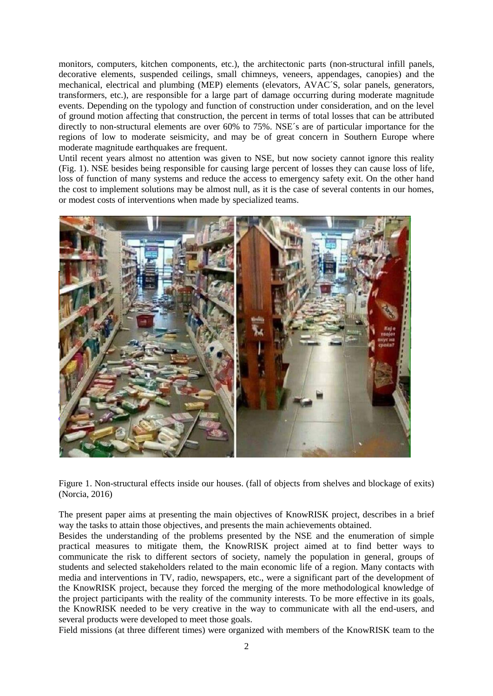monitors, computers, kitchen components, etc.), the architectonic parts (non-structural infill panels, decorative elements, suspended ceilings, small chimneys, veneers, appendages, canopies) and the mechanical, electrical and plumbing (MEP) elements (elevators, AVAC´S, solar panels, generators, transformers, etc.), are responsible for a large part of damage occurring during moderate magnitude events. Depending on the typology and function of construction under consideration, and on the level of ground motion affecting that construction, the percent in terms of total losses that can be attributed directly to non-structural elements are over 60% to 75%. NSE´s are of particular importance for the regions of low to moderate seismicity, and may be of great concern in Southern Europe where moderate magnitude earthquakes are frequent.

Until recent years almost no attention was given to NSE, but now society cannot ignore this reality (Fig. 1). NSE besides being responsible for causing large percent of losses they can cause loss of life, loss of function of many systems and reduce the access to emergency safety exit. On the other hand the cost to implement solutions may be almost null, as it is the case of several contents in our homes, or modest costs of interventions when made by specialized teams.



Figure 1. Non-structural effects inside our houses. (fall of objects from shelves and blockage of exits) (Norcia, 2016)

The present paper aims at presenting the main objectives of KnowRISK project, describes in a brief way the tasks to attain those objectives, and presents the main achievements obtained.

Besides the understanding of the problems presented by the NSE and the enumeration of simple practical measures to mitigate them, the KnowRISK project aimed at to find better ways to communicate the risk to different sectors of society, namely the population in general, groups of students and selected stakeholders related to the main economic life of a region. Many contacts with media and interventions in TV, radio, newspapers, etc., were a significant part of the development of the KnowRISK project, because they forced the merging of the more methodological knowledge of the project participants with the reality of the community interests. To be more effective in its goals, the KnowRISK needed to be very creative in the way to communicate with all the end-users, and several products were developed to meet those goals.

Field missions (at three different times) were organized with members of the KnowRISK team to the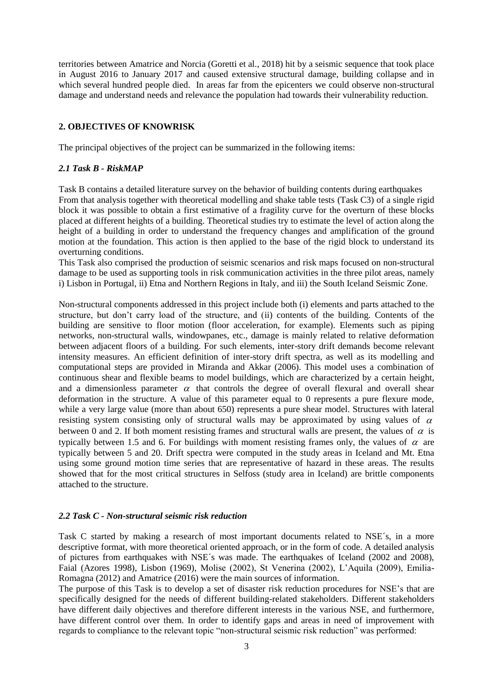territories between Amatrice and Norcia (Goretti et al., 2018) hit by a seismic sequence that took place in August 2016 to January 2017 and caused extensive structural damage, building collapse and in which several hundred people died. In areas far from the epicenters we could observe non-structural damage and understand needs and relevance the population had towards their vulnerability reduction.

### **2. OBJECTIVES OF KNOWRISK**

The principal objectives of the project can be summarized in the following items:

### *2.1 Task B - RiskMAP*

Task B contains a detailed literature survey on the behavior of building contents during earthquakes From that analysis together with theoretical modelling and shake table tests (Task C3) of a single rigid block it was possible to obtain a first estimative of a fragility curve for the overturn of these blocks placed at different heights of a building. Theoretical studies try to estimate the level of action along the height of a building in order to understand the frequency changes and amplification of the ground motion at the foundation. This action is then applied to the base of the rigid block to understand its overturning conditions.

This Task also comprised the production of seismic scenarios and risk maps focused on non-structural damage to be used as supporting tools in risk communication activities in the three pilot areas, namely i) Lisbon in Portugal, ii) Etna and Northern Regions in Italy, and iii) the South Iceland Seismic Zone.

Non-structural components addressed in this project include both (i) elements and parts attached to the structure, but don't carry load of the structure, and (ii) contents of the building. Contents of the building are sensitive to floor motion (floor acceleration, for example). Elements such as piping networks, non-structural walls, windowpanes, etc., damage is mainly related to relative deformation between adjacent floors of a building. For such elements, inter-story drift demands become relevant intensity measures. An efficient definition of inter-story drift spectra, as well as its modelling and computational steps are provided in Miranda and Akkar (2006). This model uses a combination of continuous shear and flexible beams to model buildings, which are characterized by a certain height, and a dimensionless parameter  $\alpha$  that controls the degree of overall flexural and overall shear deformation in the structure. A value of this parameter equal to 0 represents a pure flexure mode, while a very large value (more than about 650) represents a pure shear model. Structures with lateral resisting system consisting only of structural walls may be approximated by using values of  $\alpha$ between 0 and 2. If both moment resisting frames and structural walls are present, the values of  $\alpha$  is typically between 1.5 and 6. For buildings with moment resisting frames only, the values of  $\alpha$  are typically between 5 and 20. Drift spectra were computed in the study areas in Iceland and Mt. Etna using some ground motion time series that are representative of hazard in these areas. The results showed that for the most critical structures in Selfoss (study area in Iceland) are brittle components attached to the structure.

### *2.2 Task C - Non-structural seismic risk reduction*

Task C started by making a research of most important documents related to NSE´s, in a more descriptive format, with more theoretical oriented approach, or in the form of code. A detailed analysis of pictures from earthquakes with NSE´s was made. The earthquakes of Iceland (2002 and 2008), Faial (Azores 1998), Lisbon (1969), Molise (2002), St Venerina (2002), L'Aquila (2009), Emilia-Romagna (2012) and Amatrice (2016) were the main sources of information.

The purpose of this Task is to develop a set of disaster risk reduction procedures for NSE's that are specifically designed for the needs of different building-related stakeholders. Different stakeholders have different daily objectives and therefore different interests in the various NSE, and furthermore, have different control over them. In order to identify gaps and areas in need of improvement with regards to compliance to the relevant topic "non-structural seismic risk reduction" was performed: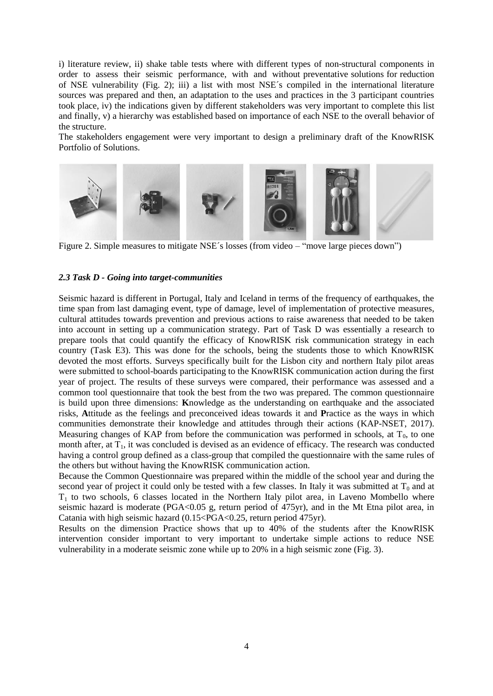i) literature review, ii) shake table tests where with different types of non-structural components in order to assess their seismic performance, with and without preventative solutions for reduction of NSE vulnerability (Fig. 2); iii) a list with most NSE´s compiled in the international literature sources was prepared and then, an adaptation to the uses and practices in the 3 participant countries took place, iv) the indications given by different stakeholders was very important to complete this list and finally, v) a hierarchy was established based on importance of each NSE to the overall behavior of the structure.

The stakeholders engagement were very important to design a preliminary draft of the KnowRISK Portfolio of Solutions.



Figure 2. Simple measures to mitigate NSE´s losses (from video – "move large pieces down")

#### *2.3 Task D - Going into target-communities*

Seismic hazard is different in Portugal, Italy and Iceland in terms of the frequency of earthquakes, the time span from last damaging event, type of damage, level of implementation of protective measures, cultural attitudes towards prevention and previous actions to raise awareness that needed to be taken into account in setting up a communication strategy. Part of Task D was essentially a research to prepare tools that could quantify the efficacy of KnowRISK risk communication strategy in each country (Task E3). This was done for the schools, being the students those to which KnowRISK devoted the most efforts. Surveys specifically built for the Lisbon city and northern Italy pilot areas were submitted to school-boards participating to the KnowRISK communication action during the first year of project. The results of these surveys were compared, their performance was assessed and a common tool questionnaire that took the best from the two was prepared. The common questionnaire is build upon three dimensions: **K**nowledge as the understanding on earthquake and the associated risks, **A**ttitude as the feelings and preconceived ideas towards it and **P**ractice as the ways in which communities demonstrate their knowledge and attitudes through their actions (KAP-NSET, 2017). Measuring changes of KAP from before the communication was performed in schools, at  $T_0$ , to one month after, at  $T_1$ , it was concluded is devised as an evidence of efficacy. The research was conducted having a control group defined as a class-group that compiled the questionnaire with the same rules of the others but without having the KnowRISK communication action.

Because the Common Questionnaire was prepared within the middle of the school year and during the second year of project it could only be tested with a few classes. In Italy it was submitted at  $T_0$  and at  $T_1$  to two schools, 6 classes located in the Northern Italy pilot area, in Laveno Mombello where seismic hazard is moderate (PGA<0.05 g, return period of 475yr), and in the Mt Etna pilot area, in Catania with high seismic hazard (0.15<PGA<0.25, return period 475yr).

Results on the dimension Practice shows that up to 40% of the students after the KnowRISK intervention consider important to very important to undertake simple actions to reduce NSE vulnerability in a moderate seismic zone while up to 20% in a high seismic zone (Fig. 3).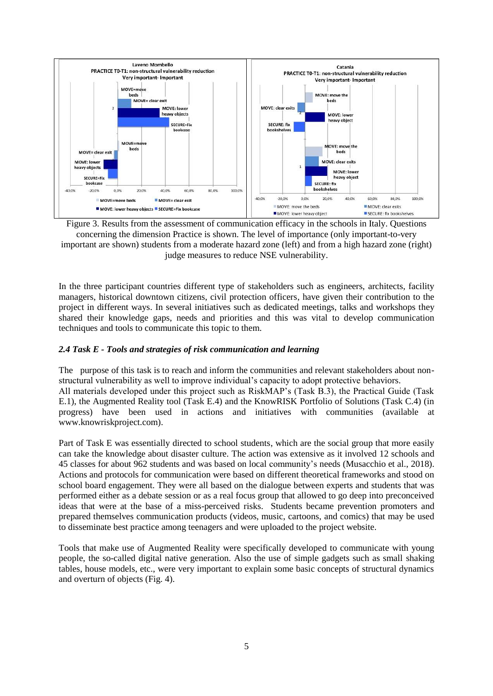

Figure 3. Results from the assessment of communication efficacy in the schools in Italy. Questions concerning the dimension Practice is shown. The level of importance (only important-to-very important are shown) students from a moderate hazard zone (left) and from a high hazard zone (right) judge measures to reduce NSE vulnerability.

In the three participant countries different type of stakeholders such as engineers, architects, facility managers, historical downtown citizens, civil protection officers, have given their contribution to the project in different ways. In several initiatives such as dedicated meetings, talks and workshops they shared their knowledge gaps, needs and priorities and this was vital to develop communication techniques and tools to communicate this topic to them.

### *2.4 Task E - Tools and strategies of risk communication and learning*

The purpose of this task is to reach and inform the communities and relevant stakeholders about nonstructural vulnerability as well to improve individual's capacity to adopt protective behaviors. All materials developed under this project such as RiskMAP's (Task B.3), the Practical Guide (Task E.1), the Augmented Reality tool (Task E.4) and the KnowRISK Portfolio of Solutions (Task C.4) (in progress) have been used in actions and initiatives with communities (available at www.knowriskproject.com).

Part of Task E was essentially directed to school students, which are the social group that more easily can take the knowledge about disaster culture. The action was extensive as it involved 12 schools and 45 classes for about 962 students and was based on local community's needs (Musacchio et al., 2018). Actions and protocols for communication were based on different theoretical frameworks and stood on school board engagement. They were all based on the dialogue between experts and students that was performed either as a debate session or as a real focus group that allowed to go deep into preconceived ideas that were at the base of a miss-perceived risks. Students became prevention promoters and prepared themselves communication products (videos, music, cartoons, and comics) that may be used to disseminate best practice among teenagers and were uploaded to the project website.

Tools that make use of Augmented Reality were specifically developed to communicate with young people, the so-called digital native generation. Also the use of simple gadgets such as small shaking tables, house models, etc., were very important to explain some basic concepts of structural dynamics and overturn of objects (Fig. 4).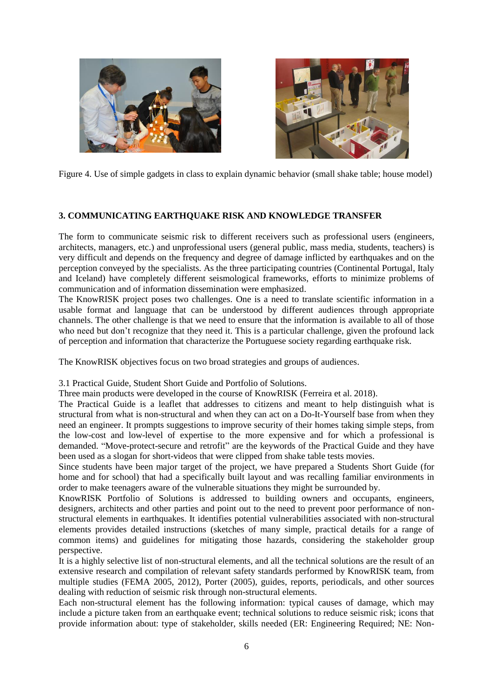



Figure 4. Use of simple gadgets in class to explain dynamic behavior (small shake table; house model)

### **3. COMMUNICATING EARTHQUAKE RISK AND KNOWLEDGE TRANSFER**

The form to communicate seismic risk to different receivers such as professional users (engineers, architects, managers, etc.) and unprofessional users (general public, mass media, students, teachers) is very difficult and depends on the frequency and degree of damage inflicted by earthquakes and on the perception conveyed by the specialists. As the three participating countries (Continental Portugal, Italy and Iceland) have completely different seismological frameworks, efforts to minimize problems of communication and of information dissemination were emphasized.

The KnowRISK project poses two challenges. One is a need to translate scientific information in a usable format and language that can be understood by different audiences through appropriate channels. The other challenge is that we need to ensure that the information is available to all of those who need but don't recognize that they need it. This is a particular challenge, given the profound lack of perception and information that characterize the Portuguese society regarding earthquake risk.

The KnowRISK objectives focus on two broad strategies and groups of audiences.

3.1 Practical Guide, Student Short Guide and Portfolio of Solutions.

Three main products were developed in the course of KnowRISK (Ferreira et al. 2018).

The Practical Guide is a leaflet that addresses to citizens and meant to help distinguish what is structural from what is non-structural and when they can act on a Do-It-Yourself base from when they need an engineer. It prompts suggestions to improve security of their homes taking simple steps, from the low-cost and low-level of expertise to the more expensive and for which a professional is demanded. "Move-protect-secure and retrofit" are the keywords of the Practical Guide and they have been used as a slogan for short-videos that were clipped from shake table tests movies.

Since students have been major target of the project, we have prepared a Students Short Guide (for home and for school) that had a specifically built layout and was recalling familiar environments in order to make teenagers aware of the vulnerable situations they might be surrounded by.

KnowRISK Portfolio of Solutions is addressed to building owners and occupants, engineers, designers, architects and other parties and point out to the need to prevent poor performance of nonstructural elements in earthquakes. It identifies potential vulnerabilities associated with non-structural elements provides detailed instructions (sketches of many simple, practical details for a range of common items) and guidelines for mitigating those hazards, considering the stakeholder group perspective.

It is a highly selective list of non-structural elements, and all the technical solutions are the result of an extensive research and compilation of relevant safety standards performed by KnowRISK team, from multiple studies (FEMA 2005, 2012), Porter (2005), guides, reports, periodicals, and other sources dealing with reduction of seismic risk through non-structural elements.

Each non-structural element has the following information: typical causes of damage, which may include a picture taken from an earthquake event; technical solutions to reduce seismic risk; icons that provide information about: type of stakeholder, skills needed (ER: Engineering Required; NE: Non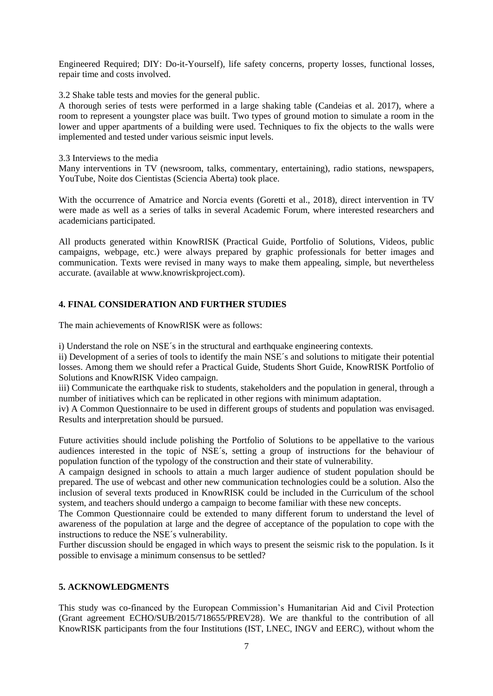Engineered Required; DIY: Do-it-Yourself), life safety concerns, property losses, functional losses, repair time and costs involved.

3.2 Shake table tests and movies for the general public.

A thorough series of tests were performed in a large shaking table (Candeias et al. 2017), where a room to represent a youngster place was built. Two types of ground motion to simulate a room in the lower and upper apartments of a building were used. Techniques to fix the objects to the walls were implemented and tested under various seismic input levels.

3.3 Interviews to the media

Many interventions in TV (newsroom, talks, commentary, entertaining), radio stations, newspapers, YouTube, Noite dos Cientistas (Sciencia Aberta) took place.

With the occurrence of Amatrice and Norcia events (Goretti et al., 2018), direct intervention in TV were made as well as a series of talks in several Academic Forum, where interested researchers and academicians participated.

All products generated within KnowRISK (Practical Guide, Portfolio of Solutions, Videos, public campaigns, webpage, etc.) were always prepared by graphic professionals for better images and communication. Texts were revised in many ways to make them appealing, simple, but nevertheless accurate. (available at www.knowriskproject.com).

### **4. FINAL CONSIDERATION AND FURTHER STUDIES**

The main achievements of KnowRISK were as follows:

i) Understand the role on NSE´s in the structural and earthquake engineering contexts.

ii) Development of a series of tools to identify the main NSE´s and solutions to mitigate their potential losses. Among them we should refer a Practical Guide, Students Short Guide, KnowRISK Portfolio of Solutions and KnowRISK Video campaign.

iii) Communicate the earthquake risk to students, stakeholders and the population in general, through a number of initiatives which can be replicated in other regions with minimum adaptation.

iv) A Common Questionnaire to be used in different groups of students and population was envisaged. Results and interpretation should be pursued.

Future activities should include polishing the Portfolio of Solutions to be appellative to the various audiences interested in the topic of NSE´s, setting a group of instructions for the behaviour of population function of the typology of the construction and their state of vulnerability.

A campaign designed in schools to attain a much larger audience of student population should be prepared. The use of webcast and other new communication technologies could be a solution. Also the inclusion of several texts produced in KnowRISK could be included in the Curriculum of the school system, and teachers should undergo a campaign to become familiar with these new concepts.

The Common Questionnaire could be extended to many different forum to understand the level of awareness of the population at large and the degree of acceptance of the population to cope with the instructions to reduce the NSE´s vulnerability.

Further discussion should be engaged in which ways to present the seismic risk to the population. Is it possible to envisage a minimum consensus to be settled?

### **5. ACKNOWLEDGMENTS**

This study was co-financed by the European Commission's Humanitarian Aid and Civil Protection (Grant agreement ECHO/SUB/2015/718655/PREV28). We are thankful to the contribution of all KnowRISK participants from the four Institutions (IST, LNEC, INGV and EERC), without whom the